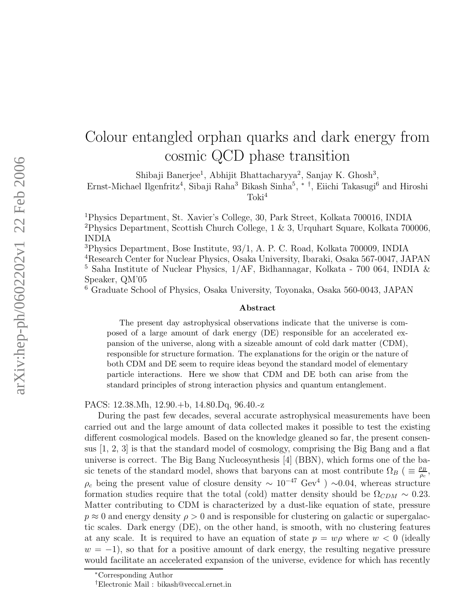## Colour entangled orphan quarks and dark energy from cosmic QCD phase transition

Shibaji Banerjee<sup>1</sup>, Abhijit Bhattacharyya<sup>2</sup>, Sanjay K. Ghosh<sup>3</sup>,

Ernst-Michael Ilgenfritz<sup>4</sup>, Sibaji Raha<sup>3</sup> Bikash Sinha<sup>5</sup>, \* <sup>†</sup>, Eiichi Takasugi<sup>6</sup> and Hiroshi Toki<sup>4</sup>

<sup>1</sup>Physics Department, St. Xavier's College, 30, Park Street, Kolkata 700016, INDIA <sup>2</sup>Physics Department, Scottish Church College, 1 & 3, Urquhart Square, Kolkata 700006, INDIA

<sup>3</sup>Physics Department, Bose Institute, 93/1, A. P. C. Road, Kolkata 700009, INDIA <sup>4</sup>Research Center for Nuclear Physics, Osaka University, Ibaraki, Osaka 567-0047, JAPAN  $^5$  Saha Institute of Nuclear Physics,  $1/ \mathrm{AF},$  Bidhannagar, Kolkata - 700 064, INDIA  $\&$ Speaker, QM'05

<sup>6</sup> Graduate School of Physics, Osaka University, Toyonaka, Osaka 560-0043, JAPAN

## Abstract

The present day astrophysical observations indicate that the universe is composed of a large amount of dark energy (DE) responsible for an accelerated expansion of the universe, along with a sizeable amount of cold dark matter (CDM), responsible for structure formation. The explanations for the origin or the nature of both CDM and DE seem to require ideas beyond the standard model of elementary particle interactions. Here we show that CDM and DE both can arise from the standard principles of strong interaction physics and quantum entanglement.

PACS: 12.38.Mh, 12.90.+b, 14.80.Dq, 96.40.-z

During the past few decades, several accurate astrophysical measurements have been carried out and the large amount of data collected makes it possible to test the existing different cosmological models. Based on the knowledge gleaned so far, the present consensus [1, 2, 3] is that the standard model of cosmology, comprising the Big Bang and a flat universe is correct. The Big Bang Nucleosynthesis [4] (BBN), which forms one of the basic tenets of the standard model, shows that baryons can at most contribute  $\Omega_B$  ( $\equiv \frac{\rho_B}{\rho_c}$  $\frac{\rho_B}{\rho_c},$  $\rho_c$  being the present value of closure density  $\sim 10^{-47}$  Gev<sup>4</sup>)  $\sim 0.04$ , whereas structure formation studies require that the total (cold) matter density should be  $\Omega_{CDM} \sim 0.23$ . Matter contributing to CDM is characterized by a dust-like equation of state, pressure  $p \approx 0$  and energy density  $\rho > 0$  and is responsible for clustering on galactic or supergalactic scales. Dark energy (DE), on the other hand, is smooth, with no clustering features at any scale. It is required to have an equation of state  $p = w\rho$  where  $w < 0$  (ideally  $w = -1$ , so that for a positive amount of dark energy, the resulting negative pressure would facilitate an accelerated expansion of the universe, evidence for which has recently

<sup>∗</sup>Corresponding Author

<sup>†</sup>Electronic Mail : bikash@veccal.ernet.in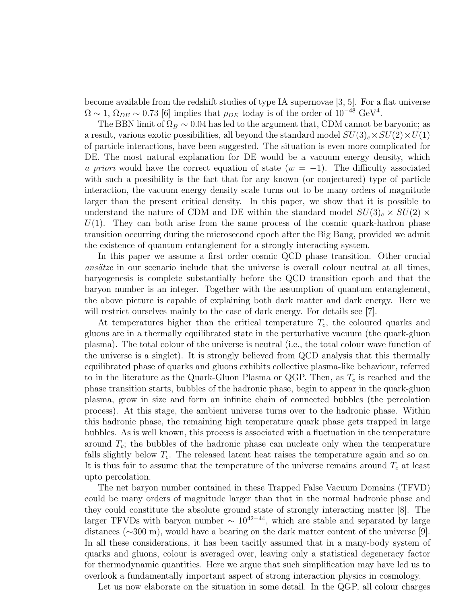become available from the redshift studies of type IA supernovae [3, 5]. For a flat universe  $\Omega \sim 1, \Omega_{DE} \sim 0.73$  [6] implies that  $\rho_{DE}$  today is of the order of  $10^{-48}$  GeV<sup>4</sup>.

The BBN limit of  $\Omega_B \sim 0.04$  has led to the argument that, CDM cannot be baryonic; as a result, various exotic possibilities, all beyond the standard model  $SU(3)_c \times SU(2) \times U(1)$ of particle interactions, have been suggested. The situation is even more complicated for DE. The most natural explanation for DE would be a vacuum energy density, which a priori would have the correct equation of state  $(w = -1)$ . The difficulty associated with such a possibility is the fact that for any known (or conjectured) type of particle interaction, the vacuum energy density scale turns out to be many orders of magnitude larger than the present critical density. In this paper, we show that it is possible to understand the nature of CDM and DE within the standard model  $SU(3)_c \times SU(2) \times$  $U(1)$ . They can both arise from the same process of the cosmic quark-hadron phase transition occurring during the microsecond epoch after the Big Bang, provided we admit the existence of quantum entanglement for a strongly interacting system.

In this paper we assume a first order cosmic QCD phase transition. Other crucial ansätze in our scenario include that the universe is overall colour neutral at all times, baryogenesis is complete substantially before the QCD transition epoch and that the baryon number is an integer. Together with the assumption of quantum entanglement, the above picture is capable of explaining both dark matter and dark energy. Here we will restrict ourselves mainly to the case of dark energy. For details see [7].

At temperatures higher than the critical temperature  $T_c$ , the coloured quarks and gluons are in a thermally equilibrated state in the perturbative vacuum (the quark-gluon plasma). The total colour of the universe is neutral (i.e., the total colour wave function of the universe is a singlet). It is strongly believed from QCD analysis that this thermally equilibrated phase of quarks and gluons exhibits collective plasma-like behaviour, referred to in the literature as the Quark-Gluon Plasma or QGP. Then, as  $T_c$  is reached and the phase transition starts, bubbles of the hadronic phase, begin to appear in the quark-gluon plasma, grow in size and form an infinite chain of connected bubbles (the percolation process). At this stage, the ambient universe turns over to the hadronic phase. Within this hadronic phase, the remaining high temperature quark phase gets trapped in large bubbles. As is well known, this process is associated with a fluctuation in the temperature around  $T_c$ ; the bubbles of the hadronic phase can nucleate only when the temperature falls slightly below  $T_c$ . The released latent heat raises the temperature again and so on. It is thus fair to assume that the temperature of the universe remains around  $T_c$  at least upto percolation.

The net baryon number contained in these Trapped False Vacuum Domains (TFVD) could be many orders of magnitude larger than that in the normal hadronic phase and they could constitute the absolute ground state of strongly interacting matter [8]. The larger TFVDs with baryon number  $\sim 10^{42-44}$ , which are stable and separated by large distances (∼300 m), would have a bearing on the dark matter content of the universe [9]. In all these considerations, it has been tacitly assumed that in a many-body system of quarks and gluons, colour is averaged over, leaving only a statistical degeneracy factor for thermodynamic quantities. Here we argue that such simplification may have led us to overlook a fundamentally important aspect of strong interaction physics in cosmology.

Let us now elaborate on the situation in some detail. In the QGP, all colour charges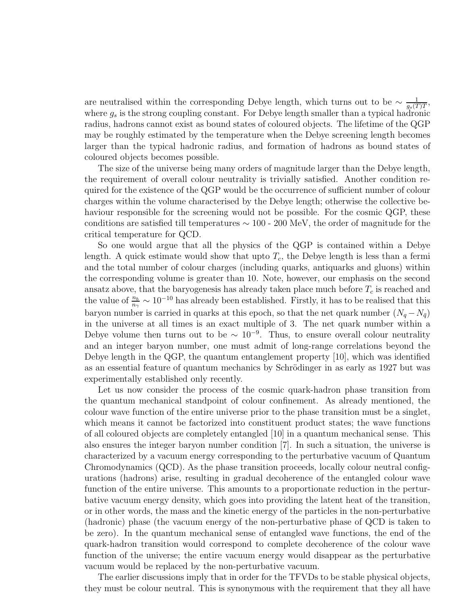are neutralised within the corresponding Debye length, which turns out to be  $\sim \frac{1}{a_0}$  $\frac{1}{g_s(T)T},$ where  $g_s$  is the strong coupling constant. For Debye length smaller than a typical hadronic radius, hadrons cannot exist as bound states of coloured objects. The lifetime of the QGP may be roughly estimated by the temperature when the Debye screening length becomes larger than the typical hadronic radius, and formation of hadrons as bound states of coloured objects becomes possible.

The size of the universe being many orders of magnitude larger than the Debye length, the requirement of overall colour neutrality is trivially satisfied. Another condition required for the existence of the QGP would be the occurrence of sufficient number of colour charges within the volume characterised by the Debye length; otherwise the collective behaviour responsible for the screening would not be possible. For the cosmic QGP, these conditions are satisfied till temperatures  $\sim 100$  - 200 MeV, the order of magnitude for the critical temperature for QCD.

So one would argue that all the physics of the QGP is contained within a Debye length. A quick estimate would show that upto  $T_c$ , the Debye length is less than a fermi and the total number of colour charges (including quarks, antiquarks and gluons) within the corresponding volume is greater than 10. Note, however, our emphasis on the second ansatz above, that the baryogenesis has already taken place much before  $T_c$  is reached and the value of  $\frac{n_b}{n_\gamma} \sim 10^{-10}$  has already been established. Firstly, it has to be realised that this baryon number is carried in quarks at this epoch, so that the net quark number  $(N_q - N_{\bar{q}})$ in the universe at all times is an exact multiple of 3. The net quark number within a Debye volume then turns out to be  $\sim 10^{-9}$ . Thus, to ensure overall colour neutrality and an integer baryon number, one must admit of long-range correlations beyond the Debye length in the QGP, the quantum entanglement property [10], which was identified as an essential feature of quantum mechanics by Schrödinger in as early as 1927 but was experimentally established only recently.

Let us now consider the process of the cosmic quark-hadron phase transition from the quantum mechanical standpoint of colour confinement. As already mentioned, the colour wave function of the entire universe prior to the phase transition must be a singlet, which means it cannot be factorized into constituent product states; the wave functions of all coloured objects are completely entangled [10] in a quantum mechanical sense. This also ensures the integer baryon number condition [7]. In such a situation, the universe is characterized by a vacuum energy corresponding to the perturbative vacuum of Quantum Chromodynamics (QCD). As the phase transition proceeds, locally colour neutral configurations (hadrons) arise, resulting in gradual decoherence of the entangled colour wave function of the entire universe. This amounts to a proportionate reduction in the perturbative vacuum energy density, which goes into providing the latent heat of the transition, or in other words, the mass and the kinetic energy of the particles in the non-perturbative (hadronic) phase (the vacuum energy of the non-perturbative phase of QCD is taken to be zero). In the quantum mechanical sense of entangled wave functions, the end of the quark-hadron transition would correspond to complete decoherence of the colour wave function of the universe; the entire vacuum energy would disappear as the perturbative vacuum would be replaced by the non-perturbative vacuum.

The earlier discussions imply that in order for the TFVDs to be stable physical objects, they must be colour neutral. This is synonymous with the requirement that they all have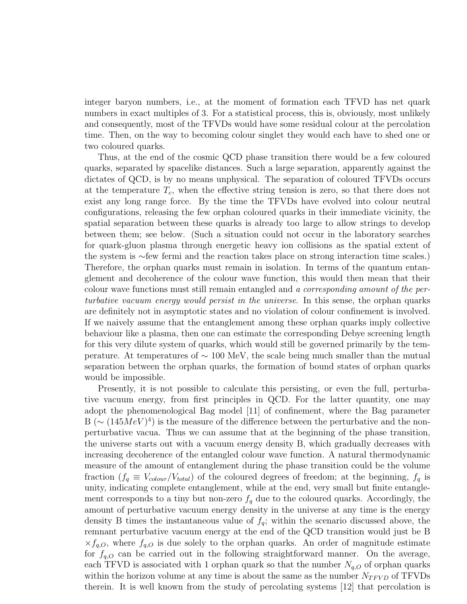integer baryon numbers, i.e., at the moment of formation each TFVD has net quark numbers in exact multiples of 3. For a statistical process, this is, obviously, most unlikely and consequently, most of the TFVDs would have some residual colour at the percolation time. Then, on the way to becoming colour singlet they would each have to shed one or two coloured quarks.

Thus, at the end of the cosmic QCD phase transition there would be a few coloured quarks, separated by spacelike distances. Such a large separation, apparently against the dictates of QCD, is by no means unphysical. The separation of coloured TFVDs occurs at the temperature  $T_c$ , when the effective string tension is zero, so that there does not exist any long range force. By the time the TFVDs have evolved into colour neutral configurations, releasing the few orphan coloured quarks in their immediate vicinity, the spatial separation between these quarks is already too large to allow strings to develop between them; see below. (Such a situation could not occur in the laboratory searches for quark-gluon plasma through energetic heavy ion collisions as the spatial extent of the system is ∼few fermi and the reaction takes place on strong interaction time scales.) Therefore, the orphan quarks must remain in isolation. In terms of the quantum entanglement and decoherence of the colour wave function, this would then mean that their colour wave functions must still remain entangled and a corresponding amount of the perturbative vacuum energy would persist in the universe. In this sense, the orphan quarks are definitely not in asymptotic states and no violation of colour confinement is involved. If we naively assume that the entanglement among these orphan quarks imply collective behaviour like a plasma, then one can estimate the corresponding Debye screening length for this very dilute system of quarks, which would still be governed primarily by the temperature. At temperatures of  $\sim 100$  MeV, the scale being much smaller than the mutual separation between the orphan quarks, the formation of bound states of orphan quarks would be impossible.

Presently, it is not possible to calculate this persisting, or even the full, perturbative vacuum energy, from first principles in QCD. For the latter quantity, one may adopt the phenomenological Bag model [11] of confinement, where the Bag parameter B ( $\sim (145 MeV)^4$ ) is the measure of the difference between the perturbative and the nonperturbative vacua. Thus we can assume that at the beginning of the phase transition, the universe starts out with a vacuum energy density B, which gradually decreases with increasing decoherence of the entangled colour wave function. A natural thermodynamic measure of the amount of entanglement during the phase transition could be the volume fraction  $(f_q \equiv V_{colour}/V_{total})$  of the coloured degrees of freedom; at the beginning,  $f_q$  is unity, indicating complete entanglement, while at the end, very small but finite entanglement corresponds to a tiny but non-zero  $f_q$  due to the coloured quarks. Accordingly, the amount of perturbative vacuum energy density in the universe at any time is the energy density B times the instantaneous value of  $f_q$ ; within the scenario discussed above, the remnant perturbative vacuum energy at the end of the QCD transition would just be B  $\times f_{q,O}$ , where  $f_{q,O}$  is due solely to the orphan quarks. An order of magnitude estimate for  $f_{q,O}$  can be carried out in the following straightforward manner. On the average, each TFVD is associated with 1 orphan quark so that the number  $N_{q,O}$  of orphan quarks within the horizon volume at any time is about the same as the number  $N_{TFVD}$  of TFVDs therein. It is well known from the study of percolating systems [12] that percolation is